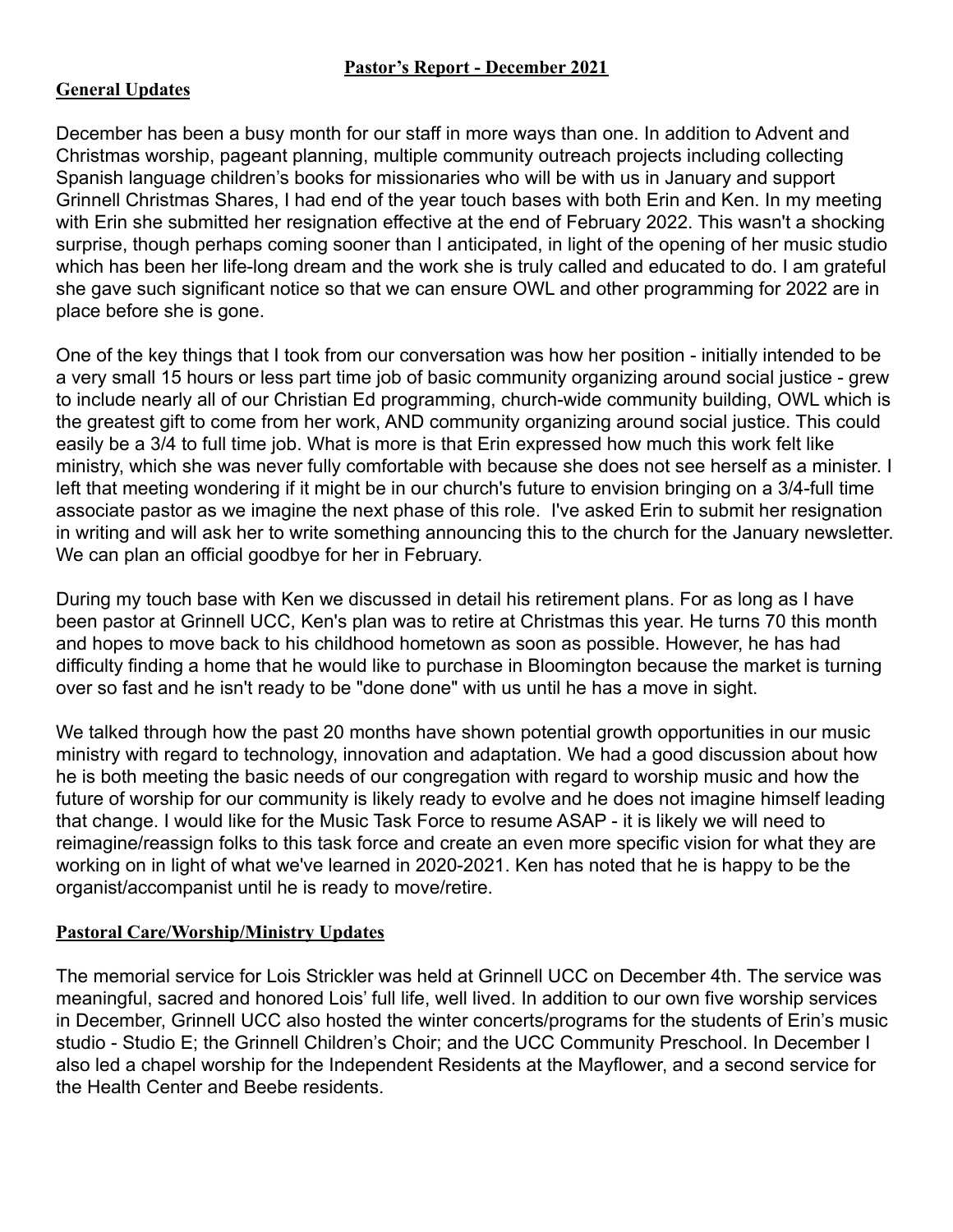## **General Updates**

December has been a busy month for our staff in more ways than one. In addition to Advent and Christmas worship, pageant planning, multiple community outreach projects including collecting Spanish language children's books for missionaries who will be with us in January and support Grinnell Christmas Shares, I had end of the year touch bases with both Erin and Ken. In my meeting with Erin she submitted her resignation effective at the end of February 2022. This wasn't a shocking surprise, though perhaps coming sooner than I anticipated, in light of the opening of her music studio which has been her life-long dream and the work she is truly called and educated to do. I am grateful she gave such significant notice so that we can ensure OWL and other programming for 2022 are in place before she is gone.

One of the key things that I took from our conversation was how her position - initially intended to be a very small 15 hours or less part time job of basic community organizing around social justice - grew to include nearly all of our Christian Ed programming, church-wide community building, OWL which is the greatest gift to come from her work, AND community organizing around social justice. This could easily be a 3/4 to full time job. What is more is that Erin expressed how much this work felt like ministry, which she was never fully comfortable with because she does not see herself as a minister. I left that meeting wondering if it might be in our church's future to envision bringing on a 3/4-full time associate pastor as we imagine the next phase of this role. I've asked Erin to submit her resignation in writing and will ask her to write something announcing this to the church for the January newsletter. We can plan an official goodbye for her in February.

During my touch base with Ken we discussed in detail his retirement plans. For as long as I have been pastor at Grinnell UCC, Ken's plan was to retire at Christmas this year. He turns 70 this month and hopes to move back to his childhood hometown as soon as possible. However, he has had difficulty finding a home that he would like to purchase in Bloomington because the market is turning over so fast and he isn't ready to be "done done" with us until he has a move in sight.

We talked through how the past 20 months have shown potential growth opportunities in our music ministry with regard to technology, innovation and adaptation. We had a good discussion about how he is both meeting the basic needs of our congregation with regard to worship music and how the future of worship for our community is likely ready to evolve and he does not imagine himself leading that change. I would like for the Music Task Force to resume ASAP - it is likely we will need to reimagine/reassign folks to this task force and create an even more specific vision for what they are working on in light of what we've learned in 2020-2021. Ken has noted that he is happy to be the organist/accompanist until he is ready to move/retire.

## **Pastoral Care/Worship/Ministry Updates**

The memorial service for Lois Strickler was held at Grinnell UCC on December 4th. The service was meaningful, sacred and honored Lois' full life, well lived. In addition to our own five worship services in December, Grinnell UCC also hosted the winter concerts/programs for the students of Erin's music studio - Studio E; the Grinnell Children's Choir; and the UCC Community Preschool. In December I also led a chapel worship for the Independent Residents at the Mayflower, and a second service for the Health Center and Beebe residents.